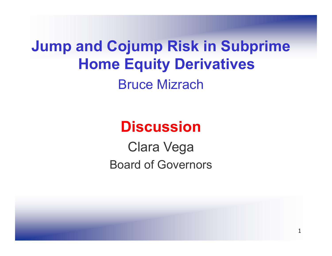**Jump and Cojump Risk in Subprime Home Equity Derivatives** Bruce Mizrach

# **Discussion**

Clara Vega Board of Governors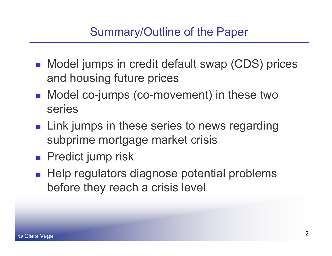## Summary/Outline of the Paper

- Model jumps in credit default swap (CDS) prices and housing future prices
- Model co-jumps (co-movement) in these two series
- **Link jumps in these series to news regarding** subprime mortgage market crisis
- **Predict jump risk**
- $\blacksquare$  Help regulators diagnose potential problems before they reach a crisis level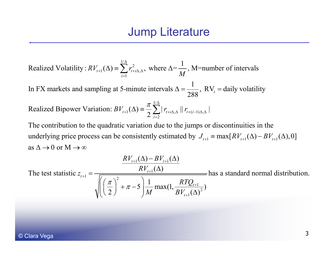$\gamma_1(\Delta) \equiv \sum^{1/\Delta} r_{t+i\Delta,t}^2$ 11Realized Volatility:  $RV_{t+1}(\Delta) = \sum_{i=1}^k r_{t+i\Delta,\Delta}^2$ , where  $\Delta = \frac{1}{M}$ , M=number of intervals  $RV_{t+1}(\Delta) = \sum_{i=1}^{t} r_{t+i\Delta,\Delta}^2$ , where  $\Delta = \frac{1}{M}$ Δ +1 $\sum t+i\Delta,\Delta$  $(\Delta) \equiv \sum r_{t+i\Delta,\Delta}^2$ , where  $\Delta$ 

1In FX markets and sampling at 5-minute intervals  $\Delta = \frac{1}{288}$ , RV<sub>t</sub> = daily volatility  $\Delta = \frac{1}{200}$ ,  $RV_t =$ 

Realized Bipower Variation:  $BV_{t+1}(\Delta) = \frac{\pi}{2} \sum_{i=1}^{n} |r_{t+i}|$  $\sum^{\frac{1}{\Delta}}\mid r_{_{t+i\Delta,\Delta}}\mid\mid r_{_{t+(i-1)\Delta,\Delta}}\mid$ power Variation:  $BV_{t+1}(\Delta) = \frac{\pi}{2} \sum_{i=2}^{1/\Delta} |r_{t+i\Delta,\Delta}| |r_{t+(i-1)\Delta,\Delta}|$  $+(i-1)\Delta$ , $\Delta$ 

underlying price process can be consistently estimated by  $J_{t+1} = \max[RV_{t+1}(\Delta) - BV_{t+1}(\Delta), 0]$ The contribution to the quadratic variation due to the jumps or discontinuities in the as  $\Delta \rightarrow 0$  or  $M \rightarrow \infty$ 

 $1^{(4)}$   $\overline{P}$ ,  $1^{+1}$  $\frac{1}{1} = \frac{1}{\sqrt{1 - \frac{1}{2} \cdot \frac{1}{2} \cdot \frac{1}{2} \cdot \frac{1}{2} \cdot \frac{1}{2} \cdot \frac{1}{2} \cdot \frac{1}{2} \cdot \frac{1}{2} \cdot \frac{1}{2} \cdot \frac{1}{2} \cdot \frac{1}{2} \cdot \frac{1}{2} \cdot \frac{1}{2} \cdot \frac{1}{2} \cdot \frac{1}{2} \cdot \frac{1}{2} \cdot \frac{1}{2} \cdot \frac{1}{2} \cdot \frac{1}{2} \cdot \frac{1}{2} \cdot \frac{1}{2} \cdot \frac{1}{2} \cdot \frac{1$  $(\Delta)$  –  $BV_{_{t+1}}(\Delta)$ The test statistic  $z_{t+1} = \frac{RV_{t+1}(\Delta)}{P_{t+1}(\Delta)}$  has a standard normal distribution.  $t+1$   $\left(\frac{u}{t}\right)$   $\frac{v}{t}$  $t_{t+1} = \frac{1+t}{\sqrt{t}}$  $RV_{i+1}(\Delta) - BV_i$  $z_{t+1} = \frac{RV_t}{\sqrt{C}}$  $+1 \left( -7 \right)$   $-7 \left( +1 \right)$  $_{+1} = \frac{1 + \frac{1}{t+1}}{\sqrt{1 - \frac{1}{t+1}} \sqrt{1 - \frac{1}{t+1}} \sqrt{1 - \frac{1}{t+1}} \sqrt{1 - \frac{1}{t+1}} \sqrt{1 - \frac{1}{t+1}} \sqrt{1 - \frac{1}{t+1}} \sqrt{1 - \frac{1}{t+1}} \sqrt{1 - \frac{1}{t+1}} \sqrt{1 - \frac{1}{t+1}} \sqrt{1 - \frac{1}{t+1}} \sqrt{1 - \frac{1}{t+1}} \sqrt{1 - \frac{1}{t+1}} \sqrt{1 - \frac{1}{t+1}} \sqrt{1 - \frac{1}{t+1}} \sqrt{1 \Delta$ ) –  $BV_{\epsilon+1}(\Delta)$  $=\frac{RV_{t+1}(\Delta)}{\sqrt{\left(\left(\frac{\pi}{2}\right)^2 + \pi - 5\right)\frac{1}{M}\max(1,\frac{RTQ_{t+1}}{BV_{t+1}(\Delta)^2})}}$ 1 $\left(\frac{\pi}{2}\right)^2 + \pi - 5 \left( \frac{1}{M} \max(1, \frac{1}{B V_{t+1}(\Delta)^2}) \right)$ *tRTQ M BV*  $\frac{\pi}{\pi}$  +  $\pi$  – 5  $\frac{1}{\pi}$  max(1,  $\frac{R I Q_{t+1}}{\pi}$  $\left(\left(\frac{\pi}{2}\right)^2 + \pi - 5\right) \frac{1}{M} \max(1, \frac{RTQ_{t+1}}{BV_{t+1}(\Delta))})$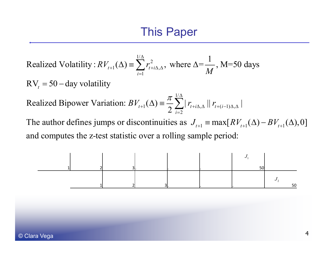$\gamma_1(\Delta) \equiv \sum^{1/\Delta} r_{t+i\Delta,t}^2$ 11Realized Volatility:  $RV_{t+1}(\Delta) = \sum_{i=1}^r r_{t+i\Delta,\Delta}^2$ , where  $\Delta = \frac{1}{M}$ , M=50 days  $RV_{t+1}(\Delta) \equiv \sum_{i=1}^{t} r_{t+i\Delta,\Delta}^2$ , where  $\Delta = \frac{1}{M}$ Δ  $_{+1}(\Delta) \equiv \sum r_{t+i\Delta,\Delta}^2$ , where  $\Delta$ = $\mathrm{RV}_t = 50 - \mathrm{day}$  volatility

1/  $1 \left( \begin{array}{c} 1 \end{array} \right)$   $\begin{array}{c} \bigwedge$   $\bigwedge$   $\bigwedge$   $\bigwedge$   $t+i\Delta, \Delta$   $\bigcup$   $t+(i-1)\Delta,$ Realized Bipower Variation:  $BV_{t+1}(\Delta) = \frac{1}{2} \sum_{i=2}^{\infty} |r_{t+i\Delta,\Delta}| |r_{t+(i-1)\Delta,\Delta}|$  $t + 1$ <sup>( $\Delta$ )</sup>  $\sum_{i=2}$   $\sum_{i=2}$   $\int$   $t + i\Delta$ , $\Delta$  **ii**  $t + i$  $BV_{t+1}(\Delta) \equiv \frac{\pi}{2} \sum_{l=1}^{l/\Delta} |r_{t+i\Delta,\Delta}| |r_{t+(i-1)\Delta,\Delta}$  $=$ 

The author defines jumps or discontinuities as  $J_{t+1} \equiv \max[RV_{t+1}(\Delta) - BV_{t+1}(\Delta), 0]$ and computes the z-test statistic over a rolling sample period:

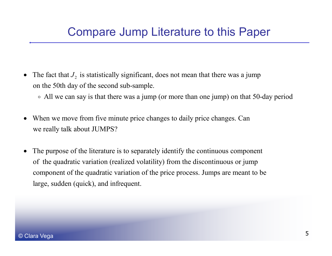#### Compare Jump Literature to this Paper

- The fact that  $J_2$  is statistically significant, does not mean that there was a jump on the 50th day of the second sub-sample.
	- $\circ$  All we can say is that there was a jump (or more than one jump) on that 50-day period
- When we move from five minute price changes to daily price changes. Can we really talk about JUMPS?  $\bullet$
- The purpose of the literature is to separately identify the continuous component of the quadratic variation (realized volatility) from the discontinuous or jump component of the quadratic variation of the price process. Jumps are meant to be large, sudden (quick), and infrequent.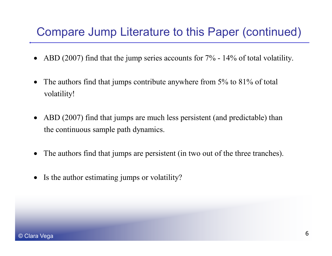#### Compare Jump Literature to this Paper (continued)

- ABD (2007) find that the jump series accounts for 7% 14% of total volatility. •
- The authors find that jumps contribute anywhere from 5% to 81% of total • The authors find that jumps contribute anywhere from  $5\%$  to  $81\%$  of total volatility! •
- ABD (2007) find that jumps are much less persistent (and predictable) than the continuous sample path dynamics.
- The authors find that jumps are persistent (in two out of the three tranches).  $\bullet$
- Is the author estimating jumps or volatility?  $\bullet$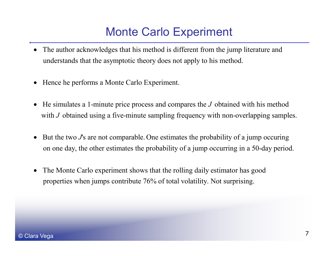## Monte Carlo Experiment

- The author acknowledges that his method is different from the jump literature and understands that the asymptotic theory does not apply to his method.
- Hence he performs a Monte Carlo Experiment.
- He simulates a 1-minute price process and compares the  $J$  obtained with his method with  $J$  obtained using a five-minute sampling frequency with non-overlapping samples.
- But the two *J*'s are not comparable. One estimates the probability of a jump occuring •on one day, the other estimates the probability of a jump occurring in a 50-day period.
- The Monte Carlo experiment shows that the rolling daily estimator has good properties when jumps contribute 76% of total volatility. Not surprising.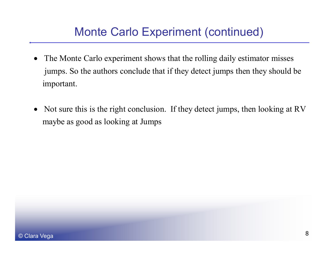## Monte Carlo Experiment (continued)

- The Monte Carlo experiment shows that the rolling daily estimator misses jumps. So the authors conclude that if they detect jumps then they should be •important.
- •• Not sure this is the right conclusion. If they detect jumps, then looking at RV maybe as good as looking at Jumps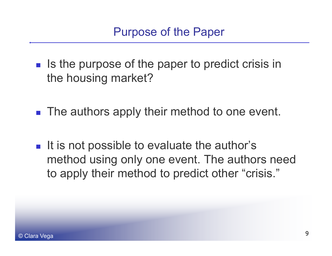- $\blacksquare$  Is the purpose of the paper to predict crisis in the housing market?
- $\blacksquare$  The authors apply their method to one event.
- $\blacksquare$  It is not possible to evaluate the author's method using only one event. The authors need to apply their method to predict other "crisis."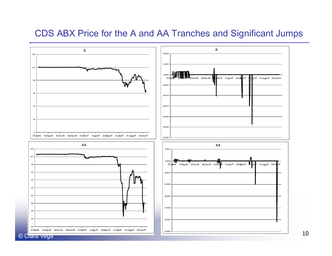#### CDS ABX Price for the A and AA Tranches and Significant Jumps

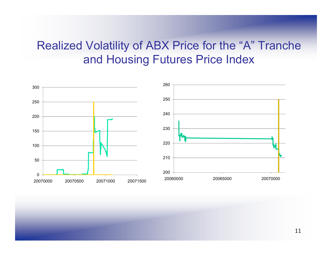#### Realized Volatility of ABX Price for the " "A " Tranche and Housing Futures Price Index

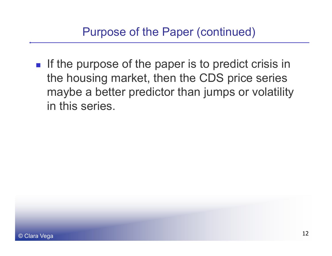If the purpose of the paper is to predict crisis in the housing market, then the CDS price series maybe a better predictor than jumps or volatility in this series.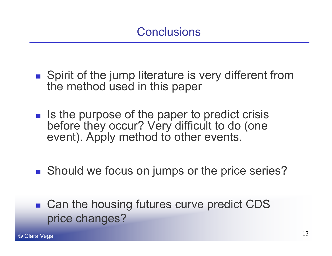- **Spirit of the jump literature is very different from** the method used in this paper
- $\blacksquare$  Is the purpose of the paper to predict crisis before they occur? Very difficult to do (one event). Apply method to other events.
- **Should we focus on jumps or the price series?**
- Can the housing futures curve predict CDS<br>price changes?